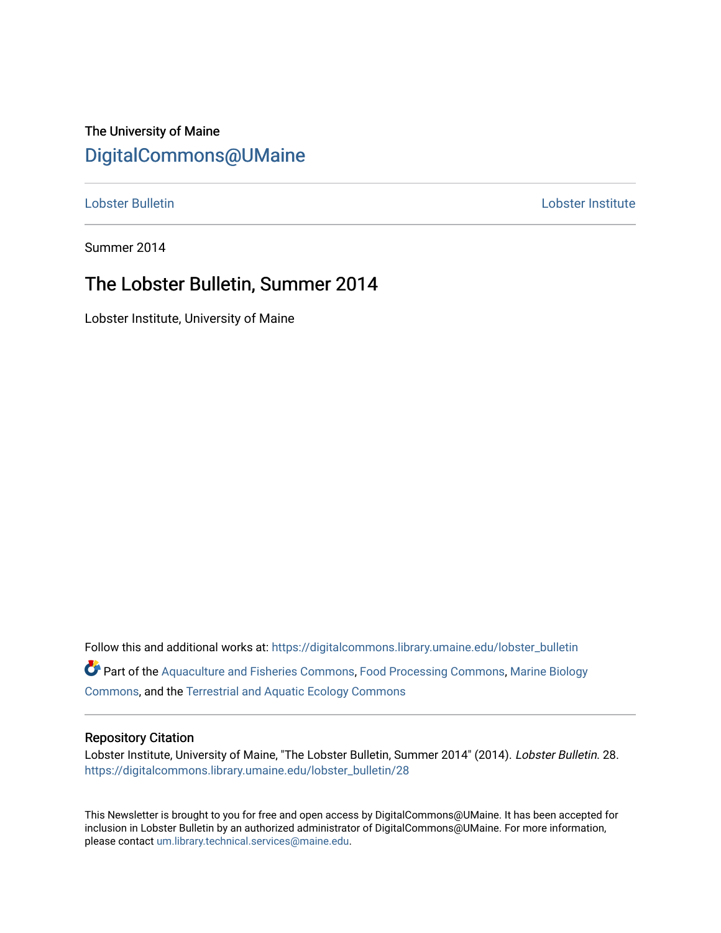## The University of Maine [DigitalCommons@UMaine](https://digitalcommons.library.umaine.edu/)

[Lobster Bulletin](https://digitalcommons.library.umaine.edu/lobster_bulletin) [Lobster Institute](https://digitalcommons.library.umaine.edu/lobster) 

Summer 2014

## The Lobster Bulletin, Summer 2014

Lobster Institute, University of Maine

Follow this and additional works at: [https://digitalcommons.library.umaine.edu/lobster\\_bulletin](https://digitalcommons.library.umaine.edu/lobster_bulletin?utm_source=digitalcommons.library.umaine.edu%2Flobster_bulletin%2F28&utm_medium=PDF&utm_campaign=PDFCoverPages) Part of the [Aquaculture and Fisheries Commons](http://network.bepress.com/hgg/discipline/78?utm_source=digitalcommons.library.umaine.edu%2Flobster_bulletin%2F28&utm_medium=PDF&utm_campaign=PDFCoverPages), [Food Processing Commons,](http://network.bepress.com/hgg/discipline/85?utm_source=digitalcommons.library.umaine.edu%2Flobster_bulletin%2F28&utm_medium=PDF&utm_campaign=PDFCoverPages) [Marine Biology](http://network.bepress.com/hgg/discipline/1126?utm_source=digitalcommons.library.umaine.edu%2Flobster_bulletin%2F28&utm_medium=PDF&utm_campaign=PDFCoverPages) [Commons](http://network.bepress.com/hgg/discipline/1126?utm_source=digitalcommons.library.umaine.edu%2Flobster_bulletin%2F28&utm_medium=PDF&utm_campaign=PDFCoverPages), and the [Terrestrial and Aquatic Ecology Commons](http://network.bepress.com/hgg/discipline/20?utm_source=digitalcommons.library.umaine.edu%2Flobster_bulletin%2F28&utm_medium=PDF&utm_campaign=PDFCoverPages) 

#### Repository Citation

Lobster Institute, University of Maine, "The Lobster Bulletin, Summer 2014" (2014). Lobster Bulletin. 28. [https://digitalcommons.library.umaine.edu/lobster\\_bulletin/28](https://digitalcommons.library.umaine.edu/lobster_bulletin/28?utm_source=digitalcommons.library.umaine.edu%2Flobster_bulletin%2F28&utm_medium=PDF&utm_campaign=PDFCoverPages) 

This Newsletter is brought to you for free and open access by DigitalCommons@UMaine. It has been accepted for inclusion in Lobster Bulletin by an authorized administrator of DigitalCommons@UMaine. For more information, please contact [um.library.technical.services@maine.edu.](mailto:um.library.technical.services@maine.edu)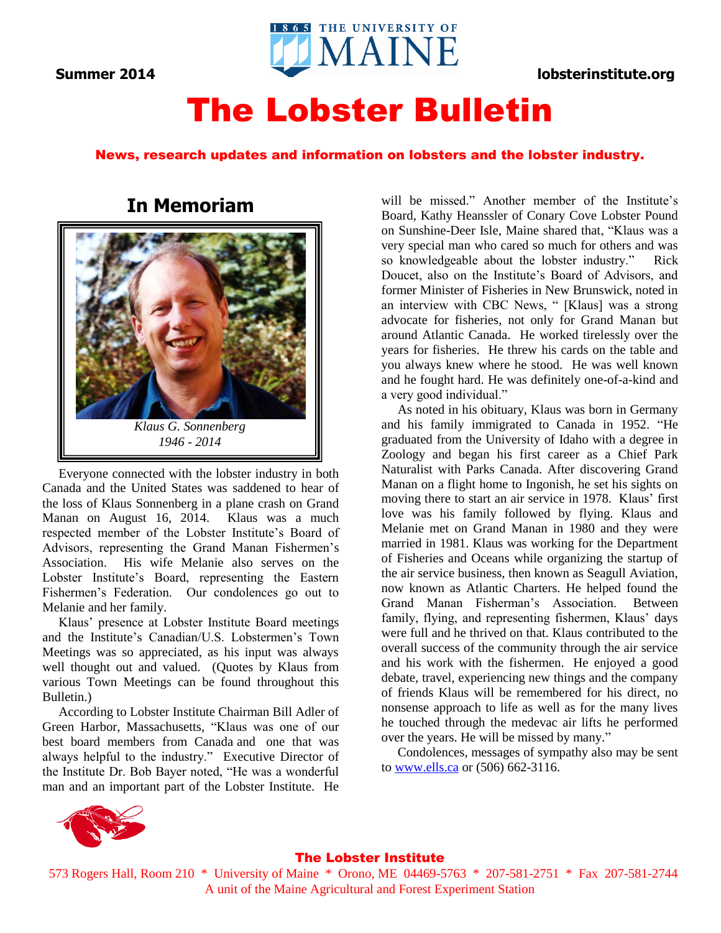

# The Lobster Bulletin

### News, research updates and information on lobsters and the lobster industry.

### **In Memoriam**



 Everyone connected with the lobster industry in both Canada and the United States was saddened to hear of the loss of Klaus Sonnenberg in a plane crash on Grand Manan on August 16, 2014. Klaus was a much respected member of the Lobster Institute's Board of Advisors, representing the Grand Manan Fishermen's Association. His wife Melanie also serves on the Lobster Institute's Board, representing the Eastern Fishermen's Federation. Our condolences go out to Melanie and her family.

 Klaus' presence at Lobster Institute Board meetings and the Institute's Canadian/U.S. Lobstermen's Town Meetings was so appreciated, as his input was always well thought out and valued. (Quotes by Klaus from various Town Meetings can be found throughout this Bulletin.)

 According to Lobster Institute Chairman Bill Adler of Green Harbor, Massachusetts, "Klaus was one of our best board members from Canada and one that was always helpful to the industry." Executive Director of the Institute Dr. Bob Bayer noted, "He was a wonderful man and an important part of the Lobster Institute. He

will be missed." Another member of the Institute's Board, Kathy Heanssler of Conary Cove Lobster Pound on Sunshine-Deer Isle, Maine shared that, "Klaus was a very special man who cared so much for others and was so knowledgeable about the lobster industry." Rick Doucet, also on the Institute's Board of Advisors, and former Minister of Fisheries in New Brunswick, noted in an interview with CBC News, " [Klaus] was a strong advocate for fisheries, not only for Grand Manan but around Atlantic Canada. He worked tirelessly over the years for fisheries. He threw his cards on the table and you always knew where he stood. He was well known and he fought hard. He was definitely one-of-a-kind and a very good individual."

 As noted in his obituary, Klaus was born in Germany and his family immigrated to Canada in 1952. "He graduated from the University of Idaho with a degree in Zoology and began his first career as a Chief Park Naturalist with Parks Canada. After discovering Grand Manan on a flight home to Ingonish, he set his sights on moving there to start an air service in 1978. Klaus' first love was his family followed by flying. Klaus and Melanie met on Grand Manan in 1980 and they were married in 1981. Klaus was working for the Department of Fisheries and Oceans while organizing the startup of the air service business, then known as Seagull Aviation, now known as Atlantic Charters. He helped found the Grand Manan Fisherman's Association. Between family, flying, and representing fishermen, Klaus' days were full and he thrived on that. Klaus contributed to the overall success of the community through the air service and his work with the fishermen. He enjoyed a good debate, travel, experiencing new things and the company of friends Klaus will be remembered for his direct, no nonsense approach to life as well as for the many lives he touched through the medevac air lifts he performed over the years. He will be missed by many."

 Condolences, messages of sympathy also may be sent to [www.ells.ca](http://www.ells.ca/) or (506) 662-3116.



#### The Lobster Institute

573 Rogers Hall, Room 210 \* University of Maine \* Orono, ME 04469-5763 \* 207-581-2751 \* Fax 207-581-2744 A unit of the Maine Agricultural and Forest Experiment Station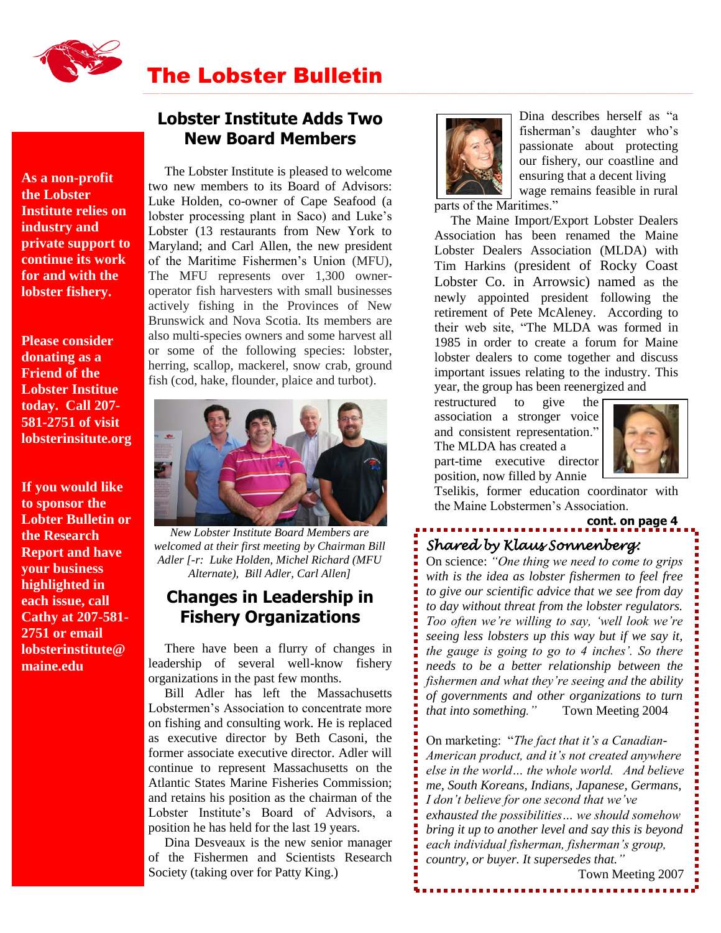

# The Lobster Bulletin

,一个人都是一个人的,我们就是一个人的,我们就是一个人的,我们就是一个人的,我们就是一个人的。""我们,我们就是一个人的,我们就是一个人的,我们就是一个人的,我们

**As a non-profit the Lobster Institute relies on industry and private support to continue its work for and with the lobster fishery.**

**Please consider donating as a Friend of the Lobster Institue today. Call 207- 581-2751 of visit lobsterinsitute.org**

**If you would like to sponsor the Lobter Bulletin or the Research Report and have your business highlighted in each issue, call Cathy at 207-581- 2751 or email lobsterinstitute@ maine.edu**

### **Lobster Institute Adds Two New Board Members**

 The Lobster Institute is pleased to welcome two new members to its Board of Advisors: Luke Holden, co-owner of Cape Seafood (a lobster processing plant in Saco) and Luke's Lobster (13 restaurants from New York to Maryland; and Carl Allen, the new president of the Maritime Fishermen's Union (MFU), The MFU represents over 1,300 owneroperator fish harvesters with small businesses actively fishing in the Provinces of New Brunswick and Nova Scotia. Its members are also multi-species owners and some harvest all or some of the following species: lobster, herring, scallop, mackerel, snow crab, ground fish (cod, hake, flounder, plaice and turbot).



*New Lobster Institute Board Members are welcomed at their first meeting by Chairman Bill Adler [-r: Luke Holden, Michel Richard (MFU Alternate), Bill Adler, Carl Allen]*

### **Changes in Leadership in Fishery Organizations**

 There have been a flurry of changes in leadership of several well-know fishery organizations in the past few months.

 Bill Adler has left the Massachusetts Lobstermen's Association to concentrate more on fishing and consulting work. He is replaced as executive director by Beth Casoni, the former associate executive director. Adler will continue to represent Massachusetts on the Atlantic States Marine Fisheries Commission; and retains his position as the chairman of the Lobster Institute's Board of Advisors, a position he has held for the last 19 years.

 Dina Desveaux is the new senior manager of the Fishermen and Scientists Research Society (taking over for Patty King.)



Dina describes herself as "a fisherman's daughter who's passionate about protecting our fishery, our coastline and ensuring that a decent living wage remains feasible in rural

parts of the Maritimes."

 The Maine Import/Export Lobster Dealers Association has been renamed the Maine Lobster Dealers Association (MLDA) with Tim Harkins (president of Rocky Coast Lobster Co. in Arrowsic) named as the newly appointed president following the retirement of Pete McAleney. According to their web site, "The MLDA was formed in 1985 in order to create a forum for Maine lobster dealers to come together and discuss important issues relating to the industry. This year, the group has been reenergized and

restructured to give the association a stronger voice and consistent representation." The MLDA has created a part-time executive director position, now filled by Annie



**cont. on page 4**

Tselikis, former education coordinator with the Maine Lobstermen's Association.

# *Shared by Klaus Sonnenberg:*

On science: *"One thing we need to come to grips with is the idea as lobster fishermen to feel free to give our scientific advice that we see from day to day without threat from the lobster regulators. Too often we're willing to say, 'well look we're seeing less lobsters up this way but if we say it, the gauge is going to go to 4 inches'. So there needs to be a better relationship between the fishermen and what they're seeing and the ability of governments and other organizations to turn that into something."* Town Meeting 2004

On marketing: "*The fact that it's a Canadian-American product, and it's not created anywhere else in the world… the whole world. And believe me, South Koreans, Indians, Japanese, Germans, I don't believe for one second that we've exhausted the possibilities… we should somehow bring it up to another level and say this is beyond each individual fisherman, fisherman's group, country, or buyer. It supersedes that."* 

Town Meeting 2007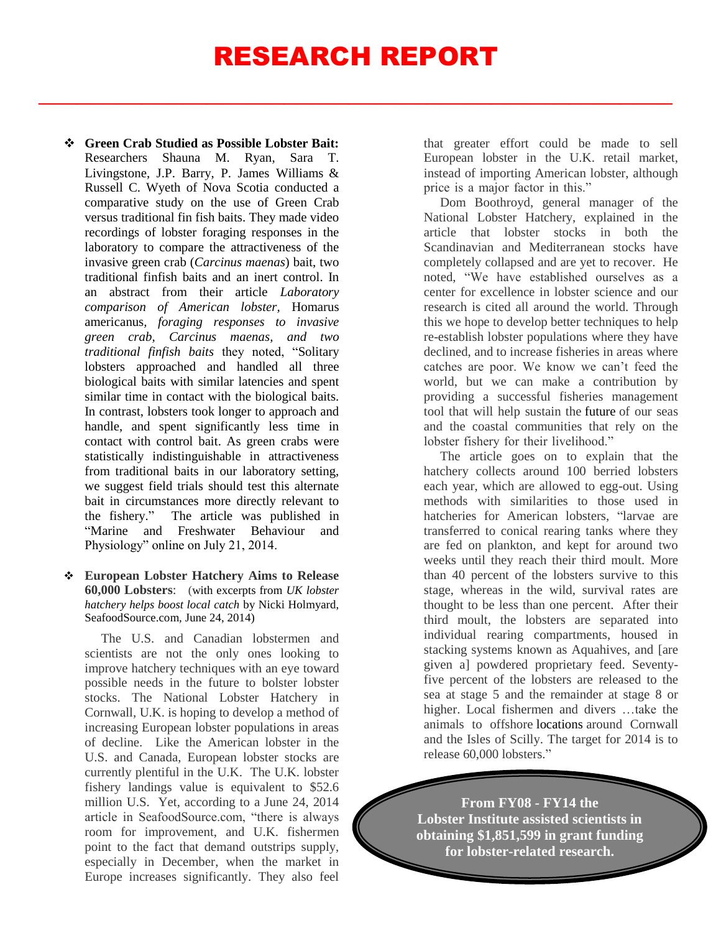# RESEARCH REPORT

 $\frac{1}{2}$  ,  $\frac{1}{2}$  ,  $\frac{1}{2}$  ,  $\frac{1}{2}$  ,  $\frac{1}{2}$  ,  $\frac{1}{2}$  ,  $\frac{1}{2}$  ,  $\frac{1}{2}$  ,  $\frac{1}{2}$  ,  $\frac{1}{2}$  ,  $\frac{1}{2}$  ,  $\frac{1}{2}$  ,  $\frac{1}{2}$  ,  $\frac{1}{2}$  ,  $\frac{1}{2}$  ,  $\frac{1}{2}$  ,  $\frac{1}{2}$  ,  $\frac{1}{2}$  ,  $\frac{1$ 

- **Green Crab Studied as Possible Lobster Bait:** Researchers Shauna M. Ryan, Sara T. Livingstone, J.P. Barry, P. James Williams & Russell C. Wyeth of Nova Scotia conducted a comparative study on the use of Green Crab versus traditional fin fish baits. They made video recordings of lobster foraging responses in the laboratory to compare the attractiveness of the invasive green crab (*Carcinus maenas*) bait, two traditional finfish baits and an inert control. In an abstract from their article *Laboratory comparison of American lobster,* Homarus americanus*, foraging responses to invasive green crab, Carcinus maenas, and two traditional finfish baits* they noted, "Solitary lobsters approached and handled all three biological baits with similar latencies and spent similar time in contact with the biological baits. In contrast, lobsters took longer to approach and handle, and spent significantly less time in contact with control bait. As green crabs were statistically indistinguishable in attractiveness from traditional baits in our laboratory setting, we suggest field trials should test this alternate bait in circumstances more directly relevant to the fishery." The article was published in "Marine and Freshwater Behaviour and Physiology" online on July 21, 2014.
- **European Lobster Hatchery Aims to Release 60,000 Lobsters**: (with excerpts from *UK lobster hatchery helps boost local catch* by Nicki Holmyard, SeafoodSource.com*,* June 24, 2014)

 The U.S. and Canadian lobstermen and scientists are not the only ones looking to improve hatchery techniques with an eye toward possible needs in the future to bolster lobster stocks. The National Lobster Hatchery in Cornwall, U.K. is hoping to develop a method of increasing European lobster populations in areas of decline. Like the American lobster in the U.S. and Canada, European lobster stocks are currently plentiful in the U.K. The U.K. lobster fishery landings value is equivalent to \$52.6 million U.S. Yet, according to a June 24, 2014 article in SeafoodSource.com, "there is always room for improvement, and U.K. fishermen point to the fact that demand outstrips supply, especially in December, when the market in Europe increases significantly. They also feel that greater effort could be made to sell European lobster in the U.K. retail market, instead of importing American lobster, although price is a major factor in this."

 Dom Boothroyd, general manager of the National Lobster Hatchery, explained in the article that lobster stocks in both the Scandinavian and Mediterranean stocks have completely collapsed and are yet to recover. He noted, "We have established ourselves as a center for excellence in lobster science and our research is cited all around the world. Through this we hope to develop better techniques to help re-establish lobster populations where they have declined, and to increase fisheries in areas where catches are poor. We know we can't feed the world, but we can make a contribution by providing a successful fisheries management tool that will help sustain the future of our seas and the coastal communities that rely on the lobster fishery for their livelihood."

 The article goes on to explain that the hatchery collects around 100 berried lobsters each year, which are allowed to egg-out. Using methods with similarities to those used in hatcheries for American lobsters, "larvae are transferred to conical rearing tanks where they are fed on plankton, and kept for around two weeks until they reach their third moult. More than 40 percent of the lobsters survive to this stage, whereas in the wild, survival rates are thought to be less than one percent. After their third moult, the lobsters are separated into individual rearing compartments, housed in stacking systems known as Aquahives, and [are given a] powdered proprietary feed. Seventyfive percent of the lobsters are released to the sea at stage 5 and the remainder at stage 8 or higher. Local fishermen and divers …take the animals to offshore [locations](http://www.seafoodsource.com/en/all-commentary/26368-uk-lobster-hatchery-helps-boost-local-catch) around Cornwall and the Isles of Scilly. The target for 2014 is to release 60,000 lobsters."

**From FY08 - FY14 the Lobster Institute assisted scientists in obtaining \$1,851,599 in grant funding for lobster-related research.**